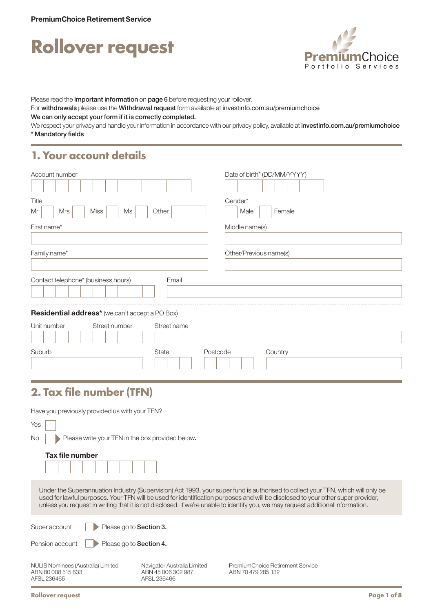



Please read the Important information on page 6 before requesting your rollover.

For withdrawals please use the Withdrawal request form available at [investinfo.com.au/premiumchoice](http://investinfo.com.au/premiumchoice)

We can only accept your form if it is correctly completed.

We respect your privacy and handle your information in accordance with our privacy policy, available at [investinfo.com.au/premiumchoice](http://investinfo.com.au/premiumchoice) \* Mandatory fields

### **1. Your account details**

| Account number                                   | Date of birth* (DD/MM/YYYY) |
|--------------------------------------------------|-----------------------------|
| Title<br><b>Miss</b><br>Other<br>Mrs<br>Ms<br>Mr | Gender*<br>Female<br>Male   |
| First name*                                      | Middle name(s)              |
| Family name*                                     | Other/Previous name(s)      |
| Contact telephone* (business hours)<br>Email     |                             |
| Residential address* (we can't accept a PO Box)  |                             |
| Unit number<br>Street number<br>Street name      |                             |
| Suburb<br>State                                  | Postcode<br>Country         |

# **2. Tax file number (TFN)**

Have you previously provided us with your TFN?

| Yes                                                                  |                                                                  |                                                                                                                                                                                                                                                                                                                                                                                                       |  |
|----------------------------------------------------------------------|------------------------------------------------------------------|-------------------------------------------------------------------------------------------------------------------------------------------------------------------------------------------------------------------------------------------------------------------------------------------------------------------------------------------------------------------------------------------------------|--|
| No.<br>Please write your TFN in the box provided below.              |                                                                  |                                                                                                                                                                                                                                                                                                                                                                                                       |  |
| Tax file number                                                      |                                                                  |                                                                                                                                                                                                                                                                                                                                                                                                       |  |
|                                                                      |                                                                  | Under the Superannuation Industry (Supervision) Act 1993, your super fund is authorised to collect your TFN, which will only be<br>used for lawful purposes. Your TFN will be used for identification purposes and will be disclosed to your other super provider,<br>unless you request in writing that it is not disclosed. If we're unable to identify you, we may request additional information. |  |
| Super account<br>Please go to Section 3.                             |                                                                  |                                                                                                                                                                                                                                                                                                                                                                                                       |  |
| Pension account<br>Please go to Section 4.                           |                                                                  |                                                                                                                                                                                                                                                                                                                                                                                                       |  |
| NULIS Nominees (Australia) Limited<br>ABN 80008515633<br>AFSL 236465 | Navigator Australia Limited<br>ABN 45 006 302 987<br>AFSL 236466 | PremiumChoice Retirement Service<br>ABN 70 479 285 132                                                                                                                                                                                                                                                                                                                                                |  |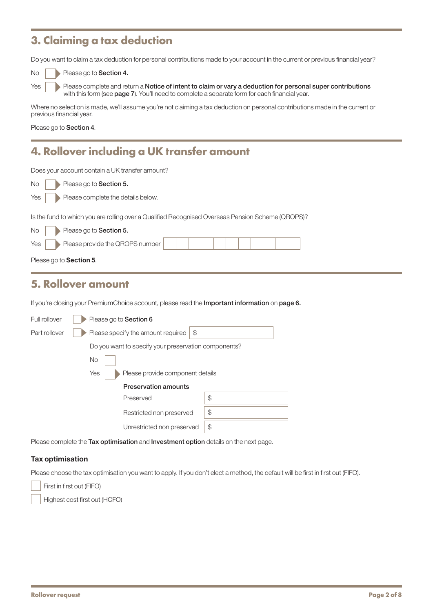# **3. Claiming a tax deduction**

Do you want to claim a tax deduction for personal contributions made to your account in the current or previous financial year?

| Yes |  |
|-----|--|

Please go to Section 4.

Please complete and return a Notice of intent to claim or vary a deduction for personal super contributions with this form (see page 7). You'll need to complete a separate form for each financial year.

Where no selection is made, we'll assume you're not claiming a tax deduction on personal contributions made in the current or previous financial year.

Please go to Section 4.

### **4. Rollover including a UK transfer amount**

Does your account contain a UK transfer amount?

| <b>No</b> | Please go to Section 5. |
|-----------|-------------------------|
|-----------|-------------------------|

Yes Please complete the details below.

Is the fund to which you are rolling over a Qualified Recognised Overseas Pension Scheme (QROPS)?

| No<br>Please go to Section 5.              |  |  |  |  |  |  |
|--------------------------------------------|--|--|--|--|--|--|
| Please provide the QROPS number<br>Yes $ $ |  |  |  |  |  |  |
| Please go to <b>Section 5</b> .            |  |  |  |  |  |  |

### **5. Rollover amount**

If you're closing your PremiumChoice account, please read the Important information on page 6.

| Full rollover | Please go to Section 6                                                               |    |
|---------------|--------------------------------------------------------------------------------------|----|
| Part rollover | \$<br>Please specify the amount required                                             |    |
|               | Do you want to specify your preservation components?                                 |    |
|               | <b>No</b>                                                                            |    |
|               | Yes<br>Please provide component details                                              |    |
|               | <b>Preservation amounts</b>                                                          |    |
|               | Preserved                                                                            | \$ |
|               | Restricted non preserved                                                             | \$ |
|               | Unrestricted non preserved                                                           | \$ |
|               | Please complete the Tax optimisation and Investment option details on the next page. |    |

Tax optimisation

Please choose the tax optimisation you want to apply. If you don't elect a method, the default will be first in first out (FIFO).

First in first out (FIFO)

Highest cost first out (HCFO)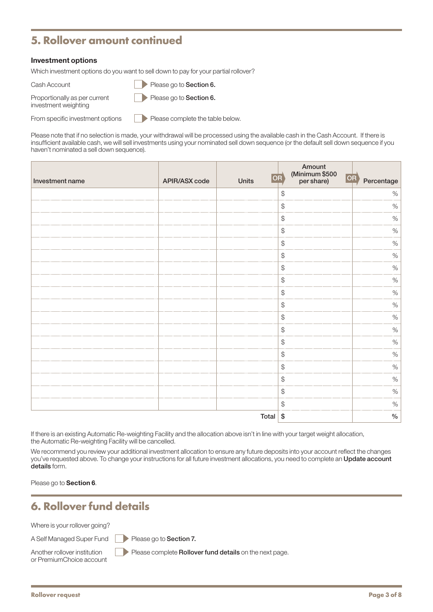# **5. Rollover amount continued**

#### Investment options

Which investment options do you want to sell down to pay for your partial rollover?

| Cash Account |  | Please go to Section 6. |
|--------------|--|-------------------------|
|--------------|--|-------------------------|

Proportionally as per current Please go to Section 6.

investment weighting

From specific investment options Please complete the table below.

Please note that if no selection is made, your withdrawal will be processed using the available cash in the Cash Account. If there is insufficient available cash, we will sell investments using your nominated sell down sequence (or the default sell down sequence if you haven't nominated a sell down sequence).

| Investment name | APIR/ASX code | <b>Units</b> | Amount<br>(Minimum \$500<br>$ \overline{\mathsf{OR}}\rangle$<br>per share) | OR Percentage |
|-----------------|---------------|--------------|----------------------------------------------------------------------------|---------------|
|                 |               |              | \$                                                                         | $\%$          |
|                 |               |              | $\, \, \raisebox{-1.5pt}{\ensuremath{\circ}}$                              | $\%$          |
|                 |               |              | $\, \, \raisebox{-1.5pt}{\text{\circle*{1.5}}}\,$                          | $\%$          |
|                 |               |              | $\, \, \raisebox{-1.5pt}{\text{\circle*{1.5}}}\,$                          | $\%$          |
|                 |               |              | \$                                                                         | $\%$          |
|                 |               |              | $\, \, \raisebox{-1.5pt}{\text{\circle*{1.5}}}\,$                          | $\%$          |
|                 |               |              | $\, \, \raisebox{-1.5pt}{\text{\circle*{1.5}}}\,$                          | $\%$          |
|                 |               |              | $$\mathbb{S}$$                                                             | $\%$          |
|                 |               |              | $\, \, \raisebox{12pt}{$\scriptstyle \circ$}$                              | $\%$          |
|                 |               |              | $\, \, \raisebox{12pt}{$\scriptstyle \circ$}$                              | $\%$          |
|                 |               |              | $\, \, \raisebox{-1.5pt}{\text{\circle*{1.5}}}\,$                          | $\%$          |
|                 |               |              | $\, \, \raisebox{-1.5pt}{\text{\circle*{1.5}}}\,$                          | $\%$          |
|                 |               |              | $\, \, \raisebox{12pt}{$\scriptstyle \circ$}$                              | $\%$          |
|                 |               |              | $$\mathbb{S}$$                                                             | $\%$          |
|                 |               |              | $\, \, \raisebox{-1.5pt}{\text{\circle*{1.5}}}\,$                          | $\%$          |
|                 |               |              | $\, \, \raisebox{-1.5pt}{\text{\circle*{1.5}}}\,$                          | $\%$          |
|                 |               |              | $$\mathbb{S}$$                                                             | $\%$          |
|                 |               |              | $$\mathbb{S}$$                                                             | $\%$          |
|                 |               | Total        | $\$$                                                                       | $\%$          |

If there is an existing Automatic Re-weighting Facility and the allocation above isn't in line with your target weight allocation, the Automatic Re-weighting Facility will be cancelled.

We recommend you review your additional investment allocation to ensure any future deposits into your account reflect the changes you've requested above. To change your instructions for all future investment allocations, you need to complete an Update account details form.

Please go to **Section 6**.

### **6. Rollover fund details**

Where is your rollover going?

A Self Managed Super Fund Please go to Section 7.

or PremiumChoice account

Another rollover institution Please complete Rollover fund details on the next page.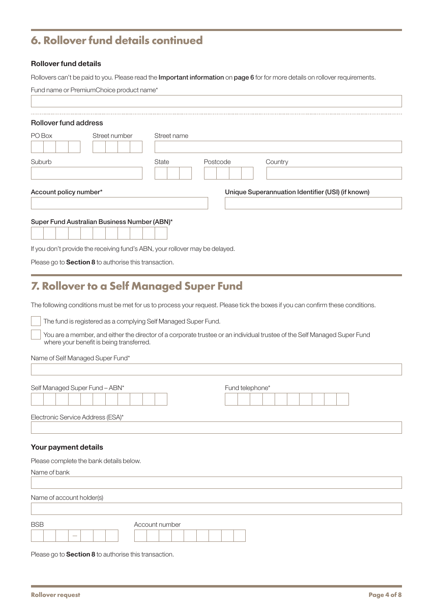# **6. Rollover fund details continued**

#### Rollover fund details

Rollovers can't be paid to you. Please read the Important information on page 6 for for more details on rollover requirements.

| PO Box                 | Street number |              |          |                                                   |  |
|------------------------|---------------|--------------|----------|---------------------------------------------------|--|
|                        |               | Street name  |          |                                                   |  |
| Suburb                 |               | <b>State</b> | Postcode | Country                                           |  |
| Account policy number* |               |              |          | Unique Superannuation Identifier (USI) (if known) |  |

Please go to **Section 8** to authorise this transaction.

### **7. Rollover to a Self Managed Super Fund**

The following conditions must be met for us to process your request. Please tick the boxes if you can confirm these conditions.

The fund is registered as a complying Self Managed Super Fund.

 You are a member, and either the director of a corporate trustee or an individual trustee of the Self Managed Super Fund where your benefit is being transferred.

Name of Self Managed Super Fund\*

| Electronic Service Address (ESA)* |  |
|-----------------------------------|--|

#### Your payment details

| Please complete the bank details below. |                |
|-----------------------------------------|----------------|
| Name of bank                            |                |
|                                         |                |
| Name of account holder(s)               |                |
|                                         |                |
| <b>BSB</b>                              | Account number |
| $\overline{\phantom{a}}$                |                |

Please go to **Section 8** to authorise this transaction.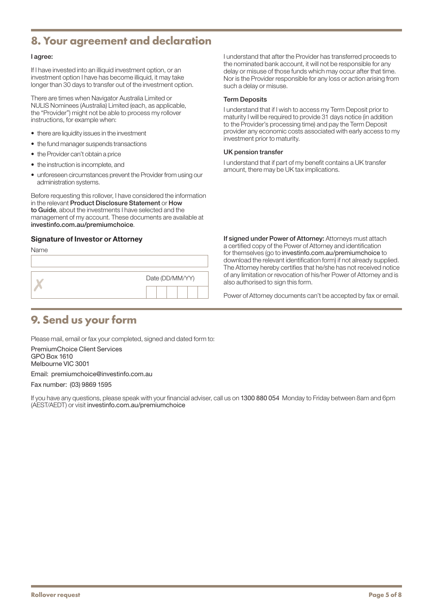### **8. Your agreement and declaration**

#### I agree:

If I have invested into an illiquid investment option, or an investment option I have has become illiquid, it may take longer than 30 days to transfer out of the investment option.

There are times when Navigator Australia Limited or NULIS Nominees (Australia) Limited (each, as applicable, the "Provider") might not be able to process my rollover instructions, for example when:

- there are liquidity issues in the investment
- the fund manager suspends transactions
- the Provider can't obtain a price
- the instruction is incomplete, and
- unforeseen circumstances prevent the Provider from using our administration systems.

Before requesting this rollover, I have considered the information in the relevant Product Disclosure Statement or How to Guide, about the investments I have selected and the management of my account. These documents are available at [investinfo.com.au/premiumchoice](http://investinfo.com.au/premiumchoice).

#### Signature of Investor or Attorney

Name

| Date (DD/MM/YY) |
|-----------------|
|                 |

I understand that after the Provider has transferred proceeds to the nominated bank account, it will not be responsible for any delay or misuse of those funds which may occur after that time. Nor is the Provider responsible for any loss or action arising from such a delay or misuse.

#### Term Deposits

I understand that if I wish to access my Term Deposit prior to maturity I will be required to provide 31 days notice (in addition to the Provider's processing time) and pay the Term Deposit provider any economic costs associated with early access to my investment prior to maturity.

#### UK pension transfer

I understand that if part of my benefit contains a UK transfer amount, there may be UK tax implications.

If signed under Power of Attorney: Attorneys must attach a certified copy of the Power of Attorney and identification for themselves (go to [investinfo.com.au/premiumchoice](http://investinfo.com.au/premiumchoice) to download the relevant identification form) if not already supplied. The Attorney hereby certifies that he/she has not received notice of any limitation or revocation of his/her Power of Attorney and is also authorised to sign this form.

Power of Attorney documents can't be accepted by fax or email.

# **9. Send us your form**

Please mail, email or fax your completed, signed and dated form to:

PremiumChoice Client Services GPO Box 1610 Melbourne VIC 3001 Email: [premiumchoice@investinfo.com.au](mailto:premiumchoice@investinfo.com.au)

Fax number: (03) 9869 1595

If you have any questions, please speak with your financial adviser, call us on 1300 880 054 Monday to Friday between 8am and 6pm (AEST/AEDT) or visit [investinfo.com.au/premiumchoice](http://investinfo.com.au/premiumchoice)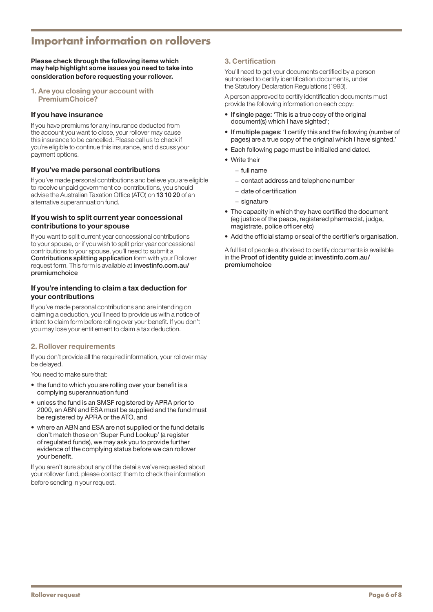# **Important information on rollovers**

Please check through the following items which may help highlight some issues you need to take into consideration before requesting your rollover.

1. Are you closing your account with PremiumChoice?

#### If you have insurance

If you have premiums for any insurance deducted from the account you want to close, your rollover may cause this insurance to be cancelled. Please call us to check if you're eligible to continue this insurance, and discuss your payment options.

#### If you've made personal contributions

If you've made personal contributions and believe you are eligible to receive unpaid government co-contributions, you should advise the Australian Taxation Office (ATO) on 13 10 20 of an alternative superannuation fund.

#### If you wish to split current year concessional contributions to your spouse

If you want to split current year concessional contributions to your spouse, or if you wish to split prior year concessional contributions to your spouse, you'll need to submit a Contributions splitting application form with your Rollover request form. This form is available at [investinfo.com.au/](http://investinfo.com.au/premiumchoice) [premiumchoice](http://investinfo.com.au/premiumchoice)

#### If you're intending to claim a tax deduction for your contributions

If you've made personal contributions and are intending on claiming a deduction, you'll need to provide us with a notice of intent to claim form before rolling over your benefit. If you don't you may lose your entitlement to claim a tax deduction.

#### 2. Rollover requirements

If you don't provide all the required information, your rollover may be delayed.

You need to make sure that:

- the fund to which you are rolling over your benefit is a complying superannuation fund
- unless the fund is an SMSF registered by APRA prior to 2000, an ABN and ESA must be supplied and the fund must be registered by APRA or the ATO, and
- where an ABN and ESA are not supplied or the fund details don't match those on 'Super Fund Lookup' (a register of regulated funds), we may ask you to provide further evidence of the complying status before we can rollover your benefit.

If you aren't sure about any of the details we've requested about your rollover fund, please contact them to check the information before sending in your request.

#### 3. Certification

You'll need to get your documents certified by a person authorised to certify identification documents, under the Statutory Declaration Regulations (1993).

A person approved to certify identification documents must provide the following information on each copy:

- If single page: 'This is a true copy of the original document(s) which I have sighted';
- If multiple pages: 'I certify this and the following (number of pages) are a true copy of the original which I have sighted.'
- Each following page must be initialled and dated.
- Write their
	- − full name
	- − contact address and telephone number
	- − date of certification
	- − signature
- The capacity in which they have certified the document (eg justice of the peace, registered pharmacist, judge, magistrate, police officer etc)
- Add the official stamp or seal of the certifier's organisation.

A full list of people authorised to certify documents is available in the Proof of identity guide at [investinfo.com.au/](http://investinfo.com.au/premiumchoice) [premiumchoice](http://investinfo.com.au/premiumchoice)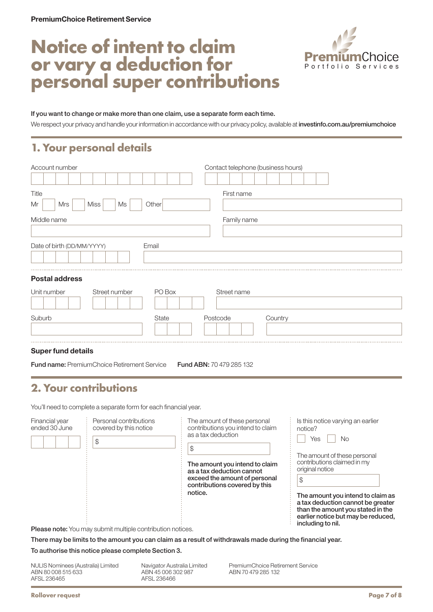# **Notice of intent to claim or vary a deduction for personal super contributions**



#### If you want to change or make more than one claim, use a separate form each time.

We respect your privacy and handle your information in accordance with our privacy policy, available at [investinfo.com.au/premiumchoice](http://investinfo.com.au/premiumchoice)

### **1. Your personal details**

| Account number                          | Contact telephone (business hours) |  |  |
|-----------------------------------------|------------------------------------|--|--|
|                                         |                                    |  |  |
| Title                                   | First name                         |  |  |
| Mrs<br><b>Miss</b><br>Other<br>Mr<br>Ms |                                    |  |  |
| Middle name                             | Family name                        |  |  |
|                                         |                                    |  |  |
| Date of birth (DD/MM/YYYY)<br>Email     |                                    |  |  |
|                                         |                                    |  |  |
| <b>Postal address</b>                   |                                    |  |  |
| PO Box<br>Unit number<br>Street number  | Street name                        |  |  |
|                                         |                                    |  |  |
| Suburb<br><b>State</b>                  | Postcode<br>Country                |  |  |

#### Super fund details

Fund name: PremiumChoice Retirement Service Fund ABN: 70 479 285 132

# **2. Your contributions**

You'll need to complete a separate form for each financial year.

| Financial year<br>ended 30 June | Personal contributions<br>covered by this notice<br>S                                                                        | The amount of these personal<br>contributions you intend to claim<br>as a tax deduction<br>\$                                 | Is this notice varying an earlier<br>notice?<br>No<br>Yes                                                                                                              |
|---------------------------------|------------------------------------------------------------------------------------------------------------------------------|-------------------------------------------------------------------------------------------------------------------------------|------------------------------------------------------------------------------------------------------------------------------------------------------------------------|
|                                 |                                                                                                                              | The amount you intend to claim<br>as a tax deduction cannot<br>exceed the amount of personal<br>contributions covered by this | The amount of these personal<br>contributions claimed in my<br>original notice                                                                                         |
|                                 |                                                                                                                              | notice.                                                                                                                       | The amount you intend to claim as<br>a tax deduction cannot be greater<br>than the amount you stated in the<br>earlier notice but may be reduced,<br>including to nil. |
|                                 | Please note: You may submit multiple contribution notices.                                                                   |                                                                                                                               |                                                                                                                                                                        |
|                                 | $\mathbf{r}$ and $\mathbf{r}$ are a set of $\mathbf{r}$ . The set of $\mathbf{r}$ and $\mathbf{r}$ are a set of $\mathbf{r}$ | .                                                                                                                             |                                                                                                                                                                        |

There may be limits to the amount you can claim as a result of withdrawals made during the financial year.

#### To authorise this notice please complete Section 3.

NULIS Nominees (Australia) Limited ABN 80 008 515 633 AFSL 236465

Navigator Australia Limited ABN 45 006 302 987 AFSL 236466

PremiumChoice Retirement Service ABN 70 479 285 132